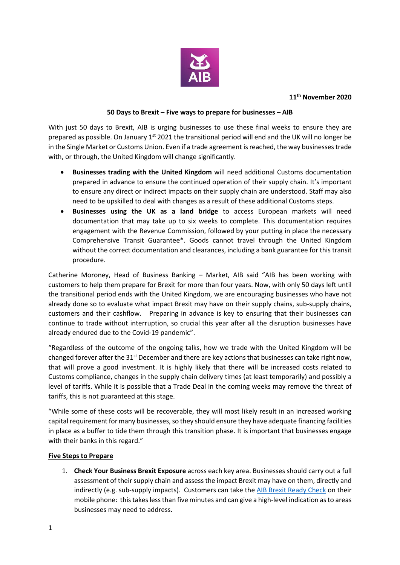

#### **11th November 2020**

### **50 Days to Brexit – Five ways to prepare for businesses – AIB**

With just 50 days to Brexit, AIB is urging businesses to use these final weeks to ensure they are prepared as possible. On January 1<sup>st</sup> 2021 the transitional period will end and the UK will no longer be in the Single Market or Customs Union. Even if a trade agreement is reached, the way businessestrade with, or through, the United Kingdom will change significantly.

- **Businesses trading with the United Kingdom** will need additional Customs documentation prepared in advance to ensure the continued operation of their supply chain. It's important to ensure any direct or indirect impacts on their supply chain are understood. Staff may also need to be upskilled to deal with changes as a result of these additional Customs steps.
- **Businesses using the UK as a land bridge** to access European markets will need documentation that may take up to six weeks to complete. This documentation requires engagement with the Revenue Commission, followed by your putting in place the necessary Comprehensive Transit Guarantee\*. Goods cannot travel through the United Kingdom without the correct documentation and clearances, including a bank guarantee for this transit procedure.

Catherine Moroney, Head of Business Banking – Market, AIB said "AIB has been working with customers to help them prepare for Brexit for more than four years. Now, with only 50 days left until the transitional period ends with the United Kingdom, we are encouraging businesses who have not already done so to evaluate what impact Brexit may have on their supply chains, sub-supply chains, customers and their cashflow. Preparing in advance is key to ensuring that their businesses can continue to trade without interruption, so crucial this year after all the disruption businesses have already endured due to the Covid-19 pandemic".

"Regardless of the outcome of the ongoing talks, how we trade with the United Kingdom will be changed forever after the  $31<sup>st</sup>$  December and there are key actions that businesses can take right now, that will prove a good investment. It is highly likely that there will be increased costs related to Customs compliance, changes in the supply chain delivery times (at least temporarily) and possibly a level of tariffs. While it is possible that a Trade Deal in the coming weeks may remove the threat of tariffs, this is not guaranteed at this stage.

"While some of these costs will be recoverable, they will most likely result in an increased working capital requirement for many businesses, so they should ensure they have adequate financing facilities in place as a buffer to tide them through this transition phase. It is important that businesses engage with their banks in this regard."

#### **Five Steps to Prepare**

1. **Check Your Business Brexit Exposure** across each key area. Businesses should carry out a full assessment of their supply chain and assess the impact Brexit may have on them, directly and indirectly (e.g. sub-supply impacts). Customers can take the [AIB Brexit Ready Check](https://business.aib.ie/my-business-is/brexit-support#brexit-check) on their mobile phone: this takes less than five minutes and can give a high-level indication as to areas businesses may need to address.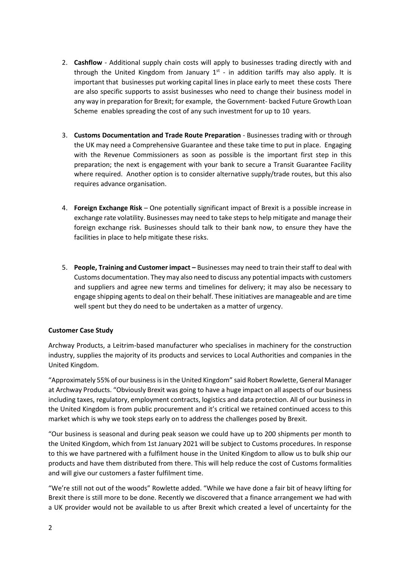- 2. **Cashflow** Additional supply chain costs will apply to businesses trading directly with and through the United Kingdom from January  $1^{st}$  - in addition tariffs may also apply. It is important that businesses put working capital lines in place early to meet these costs There are also specific supports to assist businesses who need to change their business model in any way in preparation for Brexit; for example, the Government- backed Future Growth Loan Scheme enables spreading the cost of any such investment for up to 10 years.
- 3. **Customs Documentation and Trade Route Preparation**  Businesses trading with or through the UK may need a Comprehensive Guarantee and these take time to put in place. Engaging with the Revenue Commissioners as soon as possible is the important first step in this preparation; the next is engagement with your bank to secure a Transit Guarantee Facility where required. Another option is to consider alternative supply/trade routes, but this also requires advance organisation.
- 4. **Foreign Exchange Risk** One potentially significant impact of Brexit is a possible increase in exchange rate volatility. Businesses may need to take steps to help mitigate and manage their foreign exchange risk. Businesses should talk to their bank now, to ensure they have the facilities in place to help mitigate these risks.
- 5. **People, Training and Customer impact –** Businesses may need to train their staff to deal with Customs documentation. They may also need to discuss any potential impacts with customers and suppliers and agree new terms and timelines for delivery; it may also be necessary to engage shipping agents to deal on their behalf. These initiatives are manageable and are time well spent but they do need to be undertaken as a matter of urgency.

# **Customer Case Study**

Archway Products, a Leitrim-based manufacturer who specialises in machinery for the construction industry, supplies the majority of its products and services to Local Authorities and companies in the United Kingdom.

"Approximately 55% of our business is in the United Kingdom" said Robert Rowlette, General Manager at Archway Products. "Obviously Brexit was going to have a huge impact on all aspects of our business including taxes, regulatory, employment contracts, logistics and data protection. All of our business in the United Kingdom is from public procurement and it's critical we retained continued access to this market which is why we took steps early on to address the challenges posed by Brexit.

"Our business is seasonal and during peak season we could have up to 200 shipments per month to the United Kingdom, which from 1st January 2021 will be subject to Customs procedures. In response to this we have partnered with a fulfilment house in the United Kingdom to allow us to bulk ship our products and have them distributed from there. This will help reduce the cost of Customs formalities and will give our customers a faster fulfilment time.

"We're still not out of the woods" Rowlette added. "While we have done a fair bit of heavy lifting for Brexit there is still more to be done. Recently we discovered that a finance arrangement we had with a UK provider would not be available to us after Brexit which created a level of uncertainty for the